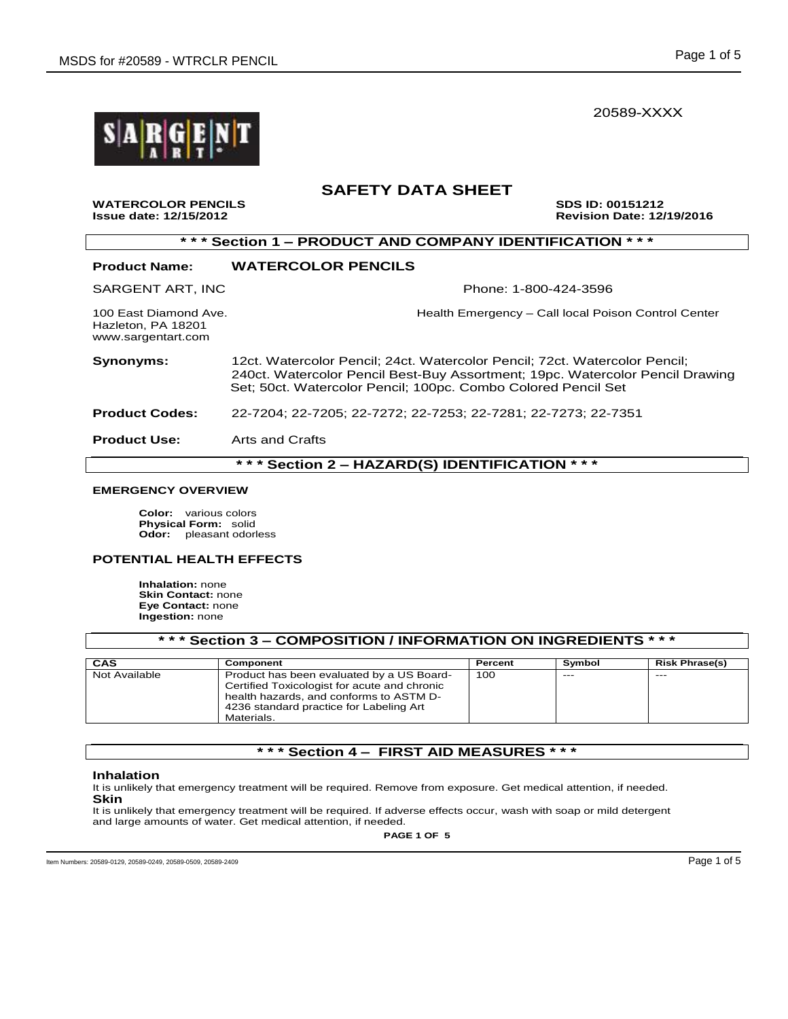20589-XXXX



### **SAFETY DATA SHEET**

**WATERCOLOR PENCILS SDS ID: 00151212 Issue date: 12/15/2012 Revision Date: 12/19/2016**

### **\* \* \* Section 1 – PRODUCT AND COMPANY IDENTIFICATION \* \* \***

#### **Product Name: WATERCOLOR PENCILS**

SARGENT ART, INC **Phone: 1-800-424-3596** 

Hazleton, PA 18201 www.sargentart.com

100 East Diamond Ave. **Health Emergency – Call local Poison Control Center** 

**Synonyms:** 12ct. Watercolor Pencil; 24ct. Watercolor Pencil; 72ct. Watercolor Pencil; 240ct. Watercolor Pencil Best-Buy Assortment; 19pc. Watercolor Pencil Drawing Set; 50ct. Watercolor Pencil; 100pc. Combo Colored Pencil Set

**Product Codes:** 22-7204; 22-7205; 22-7272; 22-7253; 22-7281; 22-7273; 22-7351

**Product Use:** Arts and Crafts

**\* \* \* Section 2 – HAZARD(S) IDENTIFICATION \* \* \***

#### **EMERGENCY OVERVIEW**

**Color:** various colors **Physical Form:** solid **Odor:** pleasant odorless

#### **POTENTIAL HEALTH EFFECTS**

**Inhalation:** none **Skin Contact:** none **Eye Contact:** none **Ingestion:** none

| *** Section 3 – COMPOSITION / INFORMATION ON INGREDIENTS * * * |                                                                                                                                                                                               |         |        |                       |  |
|----------------------------------------------------------------|-----------------------------------------------------------------------------------------------------------------------------------------------------------------------------------------------|---------|--------|-----------------------|--|
| CAS                                                            | Component                                                                                                                                                                                     | Percent | Symbol | <b>Risk Phrase(s)</b> |  |
| Not Available                                                  | Product has been evaluated by a US Board-<br>Certified Toxicologist for acute and chronic<br>health hazards, and conforms to ASTM D-<br>4236 standard practice for Labeling Art<br>Materials. | 100     | $---$  | $- - -$               |  |

### **\* \* \* Section 4 – FIRST AID MEASURES \* \* \***

#### **Inhalation**

It is unlikely that emergency treatment will be required. Remove from exposure. Get medical attention, if needed. **Skin**

It is unlikely that emergency treatment will be required. If adverse effects occur, wash with soap or mild detergent and large amounts of water. Get medical attention, if needed.

**PAGE 1 OF 5**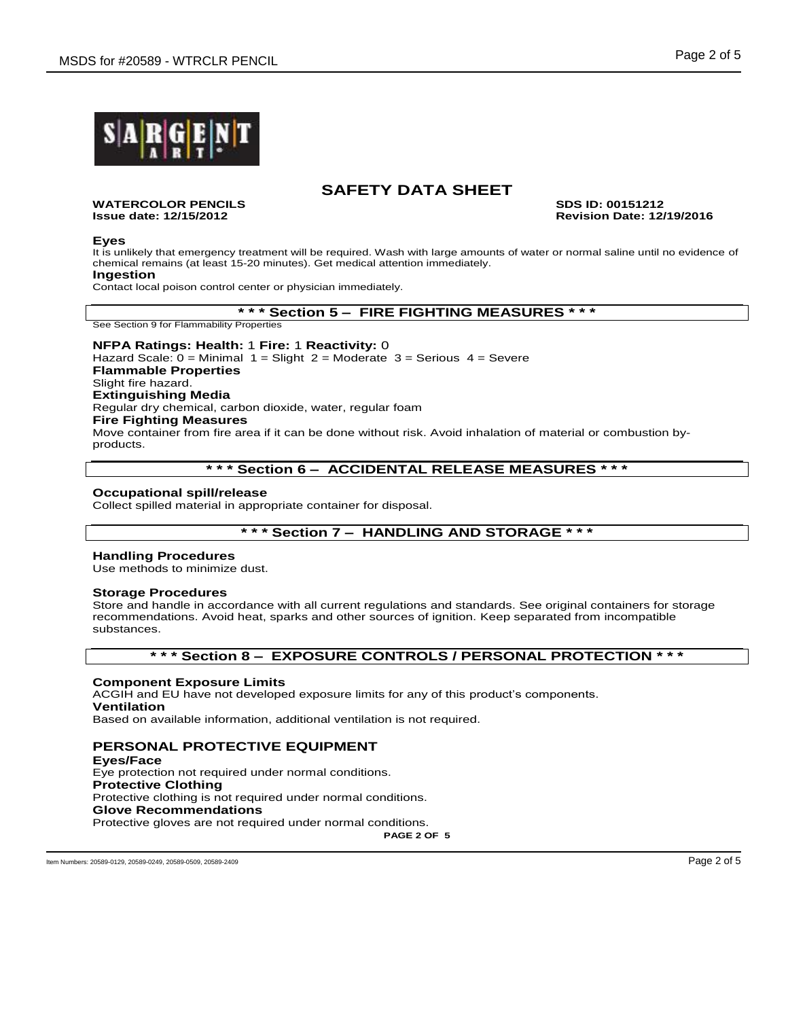

## **SAFETY DATA SHEET**

**WATERCOLOR PENCILS SDS ID: 00151212**

**Issue date: 12/15/2012 Revision Date: 12/19/2016**

#### **Eyes**

It is unlikely that emergency treatment will be required. Wash with large amounts of water or normal saline until no evidence of chemical remains (at least 15-20 minutes). Get medical attention immediately.

### **Ingestion**

Contact local poison control center or physician immediately.

#### **\* \* \* Section 5 – FIRE FIGHTING MEASURES \* \* \***

See Section 9 for Flammability Properties

#### **NFPA Ratings: Health:** 1 **Fire:** 1 **Reactivity:** 0 Hazard Scale:  $0 =$  Minimal  $1 =$  Slight  $2 =$  Moderate  $3 =$  Serious  $4 =$  Severe **Flammable Properties** Slight fire hazard. **Extinguishing Media** Regular dry chemical, carbon dioxide, water, regular foam **Fire Fighting Measures** Move container from fire area if it can be done without risk. Avoid inhalation of material or combustion byproducts.

### **\* \* \* Section 6 – ACCIDENTAL RELEASE MEASURES \* \* \***

#### **Occupational spill/release**

Collect spilled material in appropriate container for disposal.

### **\* \* \* Section 7 – HANDLING AND STORAGE \* \* \***

#### **Handling Procedures**

Use methods to minimize dust.

#### **Storage Procedures**

Store and handle in accordance with all current regulations and standards. See original containers for storage recommendations. Avoid heat, sparks and other sources of ignition. Keep separated from incompatible substances.

### **\* \* \* Section 8 – EXPOSURE CONTROLS / PERSONAL PROTECTION \* \* \***

#### **Component Exposure Limits**

ACGIH and EU have not developed exposure limits for any of this product's components. **Ventilation** Based on available information, additional ventilation is not required.

### **PERSONAL PROTECTIVE EQUIPMENT**

**Eyes/Face** Eye protection not required under normal conditions. **Protective Clothing** Protective clothing is not required under normal conditions. **Glove Recommendations** Protective gloves are not required under normal conditions.

**PAGE 2 OF 5**

Item Numbers: 20589-0129, 20589-0249, 20589-0509, 20589-2409 Page 2 of 5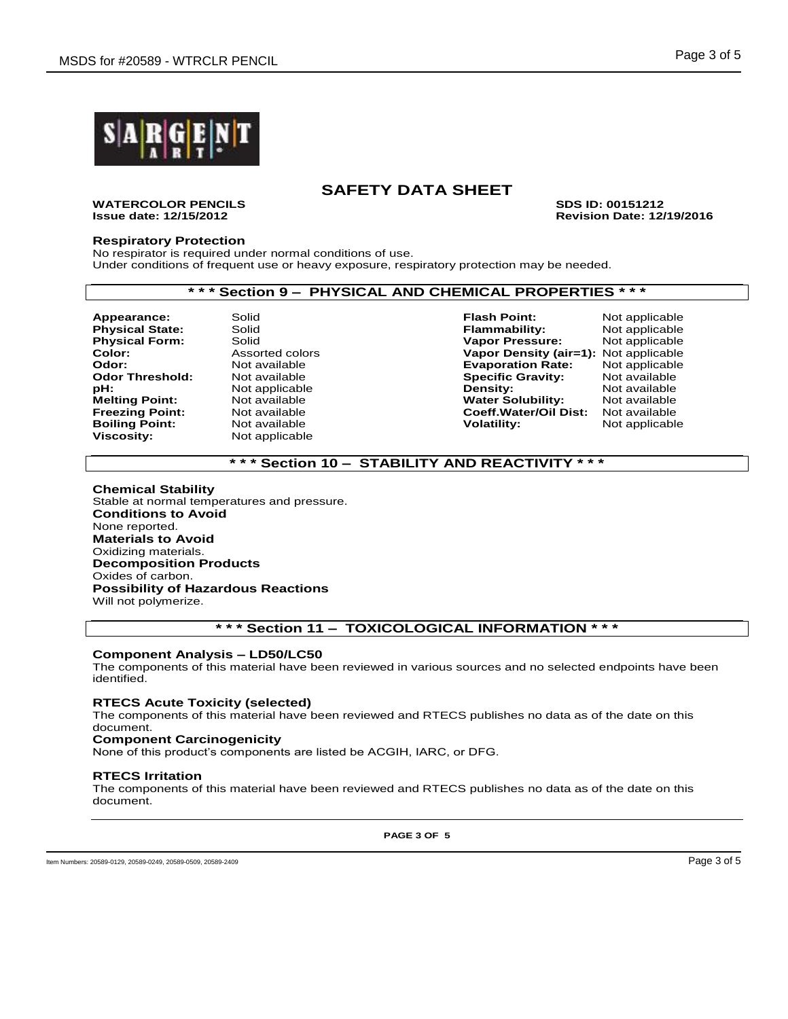

## **SAFETY DATA SHEET**

**WATERCOLOR PENCILS SDS ID: 00151212**

**Issue date: 12/15/2012 Revision Date: 12/19/2016**

#### **Respiratory Protection**

No respirator is required under normal conditions of use. Under conditions of frequent use or heavy exposure, respiratory protection may be needed.

### **\* \* \* Section 9 – PHYSICAL AND CHEMICAL PROPERTIES \* \* \***

**Boiling Point:<br>Viscosity:** 

**Not applicable** 

**Appearance:** Solid **Flash Point:** Not applicable **Physical State:** Solid **Flammability:** Not applicable **Physical Form:** Solid Solid **Vapor Pressure:** Not applicable<br> **Color:** Assorted colors **Vapor Density (air=1):** Not applicable **Color:** Assorted colors **Vapor Density (air=1):** Not applicable<br> **Color:** Not available **Coloring Evaporation Rate:** Not applicable **Odor:** Not available **Evaporation Rate:** Not applicable **Specific Gravity:<br>Density: pH:** Not applicable **Density:** Not available **Melting Point:** Mot available **Not available Water Solubility:** Not available **Freezing Point:** Not available **Freezing Point:** Not available **Freezing Point:** Not available **Coeff.Water/Oil Dist:** Not available

### **\* \* \* Section 10 – STABILITY AND REACTIVITY \* \* \***

#### **Chemical Stability** Stable at normal temperatures and pressure. **Conditions to Avoid** None reported. **Materials to Avoid** Oxidizing materials. **Decomposition Products** Oxides of carbon. **Possibility of Hazardous Reactions**

Will not polymerize.

#### **\* \* \* Section 11 – TOXICOLOGICAL INFORMATION \* \* \***

#### **Component Analysis – LD50/LC50**

The components of this material have been reviewed in various sources and no selected endpoints have been identified.

#### **RTECS Acute Toxicity (selected)**

The components of this material have been reviewed and RTECS publishes no data as of the date on this document.

#### **Component Carcinogenicity**

None of this product's components are listed be ACGIH, IARC, or DFG.

#### **RTECS Irritation**

The components of this material have been reviewed and RTECS publishes no data as of the date on this document.

**PAGE 3 OF 5**

Item Numbers: 20589-0129, 20589-0249, 20589-0509, 20589-2409 Page 3 of 5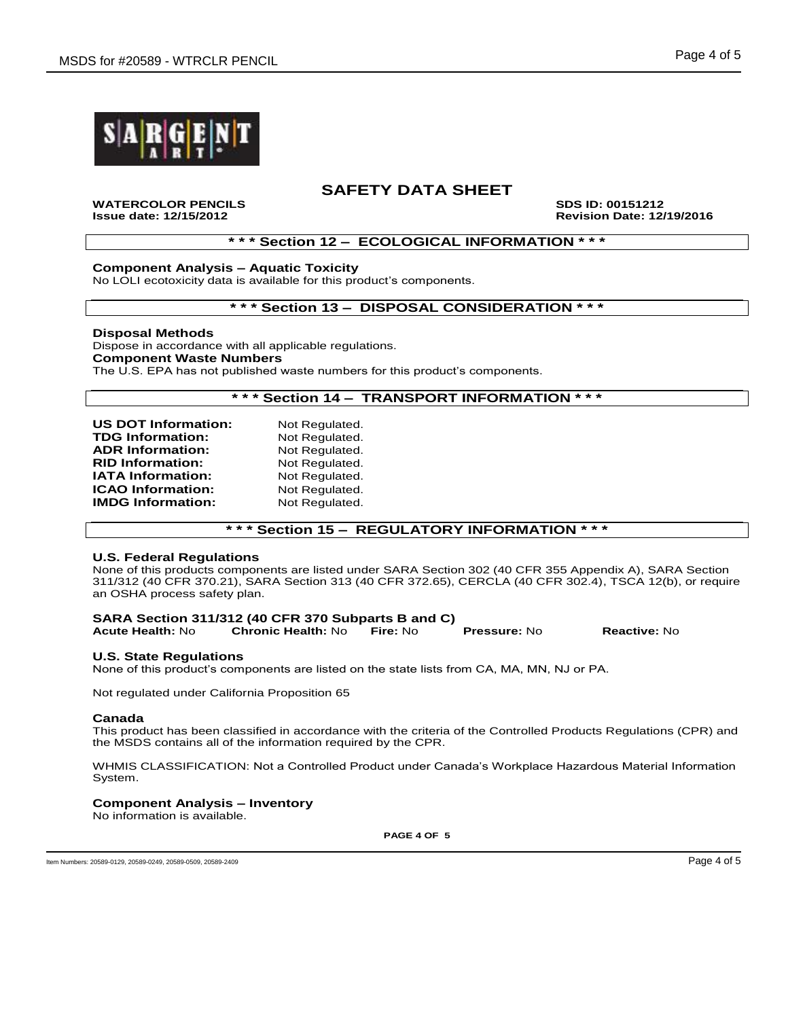

### **SAFETY DATA SHEET**

**WATERCOLOR PENCILS SDS ID: 00151212**

**Issue date: 12/15/2012 Revision Date: 12/19/2016**

### **\* \* \* Section 12 – ECOLOGICAL INFORMATION \* \* \***

#### **Component Analysis – Aquatic Toxicity**

No LOLI ecotoxicity data is available for this product's components.

### **\* \* \* Section 13 – DISPOSAL CONSIDERATION \* \* \***

#### **Disposal Methods**

Dispose in accordance with all applicable regulations. **Component Waste Numbers** The U.S. EPA has not published waste numbers for this product's components.

#### **\* \* \* Section 14 – TRANSPORT INFORMATION \* \* \***

| <b>US DOT Information:</b> | Not Regulated. |
|----------------------------|----------------|
| <b>TDG Information:</b>    | Not Regulated. |
| <b>ADR Information:</b>    | Not Regulated. |
| <b>RID Information:</b>    | Not Regulated. |
| <b>IATA Information:</b>   | Not Regulated. |
| <b>ICAO Information:</b>   | Not Regulated. |
| <b>IMDG Information:</b>   | Not Regulated. |
|                            |                |

### **\* \* \* Section 15 – REGULATORY INFORMATION \* \* \***

#### **U.S. Federal Regulations**

None of this products components are listed under SARA Section 302 (40 CFR 355 Appendix A), SARA Section 311/312 (40 CFR 370.21), SARA Section 313 (40 CFR 372.65), CERCLA (40 CFR 302.4), TSCA 12(b), or require an OSHA process safety plan.

# **SARA Section 311/312 (40 CFR 370 Subparts B and C)**

**Acute Health:** No **Chronic Health:** No **Fire:** No **Pressure:** No **Reactive:** No

#### **U.S. State Regulations**

None of this product's components are listed on the state lists from CA, MA, MN, NJ or PA.

Not regulated under California Proposition 65

#### **Canada**

This product has been classified in accordance with the criteria of the Controlled Products Regulations (CPR) and the MSDS contains all of the information required by the CPR.

WHMIS CLASSIFICATION: Not a Controlled Product under Canada's Workplace Hazardous Material Information System.

#### **Component Analysis – Inventory**

No information is available.

**PAGE 4 OF 5**

Item Numbers: 20589-0129, 20589-0249, 20589-0509, 20589-2409 Page 4 of 5